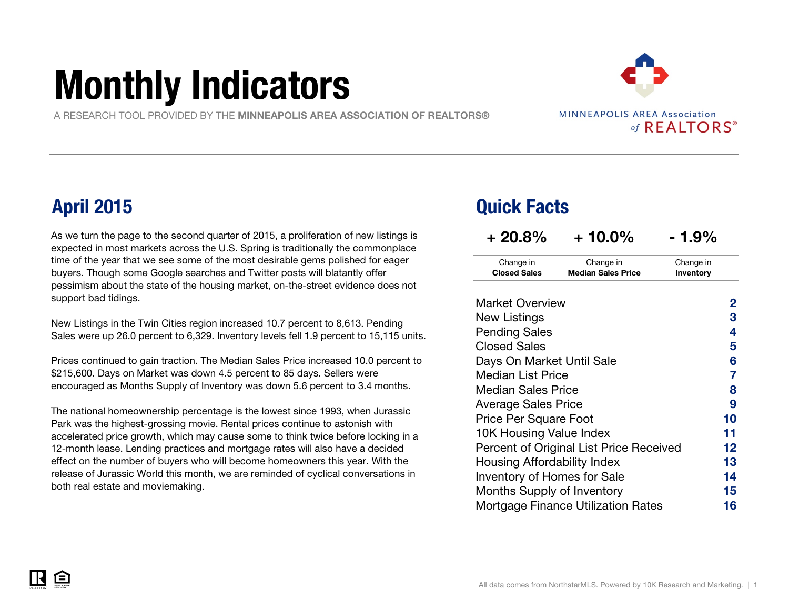# Monthly Indicators

A RESEARCH TOOL PROVIDED BY THE MINNEAPOLIS AREA ASSOCIATION OF REALTORS®

**MINNEAPOLIS AREA Association** of REALTORS®

As we turn the page to the second quarter of 2015, a proliferation of new listings is expected in most markets across the U.S. Spring is traditionally the commonplace time of the year that we see some of the most desirable gems polished for eager buyers. Though some Google searches and Twitter posts will blatantly offer pessimism about the state of the housing market, on-the-street evidence does not support bad tidings.

New Listings in the Twin Cities region increased 10.7 percent to 8,613. Pending Sales were up 26.0 percent to 6,329. Inventory levels fell 1.9 percent to 15,115 units.

Prices continued to gain traction. The Median Sales Price increased 10.0 percent to \$215,600. Days on Market was down 4.5 percent to 85 days. Sellers were encouraged as Months Supply of Inventory was down 5.6 percent to 3.4 months.

The national homeownership percentage is the lowest since 1993, when Jurassic Park was the highest-grossing movie. Rental prices continue to astonish with accelerated price growth, which may cause some to think twice before locking in a 12-month lease. Lending practices and mortgage rates will also have a decided effect on the number of buyers who will become homeowners this year. With the release of Jurassic World this month, we are reminded of cyclical conversations in both real estate and moviemaking.

### April 2015 Quick Facts

| $+20.8%$                         | $+10.0\%$                               | - 1.9%                 |
|----------------------------------|-----------------------------------------|------------------------|
| Change in<br><b>Closed Sales</b> | Change in<br><b>Median Sales Price</b>  | Change in<br>Inventory |
| <b>Market Overview</b>           |                                         | 2                      |
| New Listings                     |                                         | 3                      |
| <b>Pending Sales</b>             |                                         | 4                      |
| <b>Closed Sales</b>              |                                         | 5                      |
| Days On Market Until Sale        | 6                                       |                        |
| Median List Price                |                                         | 7                      |
| Median Sales Price               |                                         | 8                      |
| <b>Average Sales Price</b>       |                                         | 9                      |
| <b>Price Per Square Foot</b>     |                                         | 10                     |
| 10K Housing Value Index          |                                         | 11                     |
|                                  | Percent of Original List Price Received | 12                     |
| Housing Affordability Index      |                                         | 13                     |
| Inventory of Homes for Sale      |                                         | 14                     |
| Months Supply of Inventory       |                                         | 15                     |
|                                  | Mortgage Finance Utilization Rates      | 16                     |



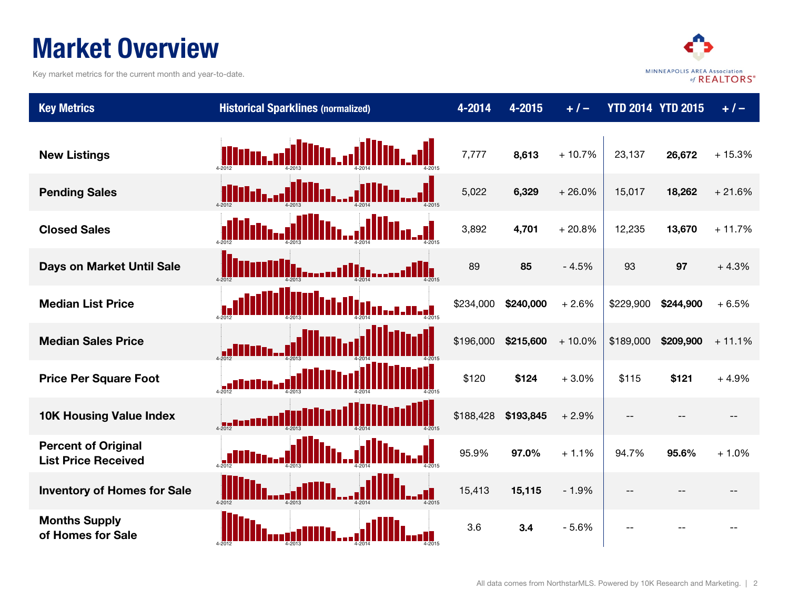### Market Overview

Key market metrics for the current month and year-to-date.



| <b>Key Metrics</b>                                       | <b>Historical Sparklines (normalized)</b> | 4-2014    | $4 - 2015$ | $+/-$    |           | <b>YTD 2014 YTD 2015</b> | $+1-$    |
|----------------------------------------------------------|-------------------------------------------|-----------|------------|----------|-----------|--------------------------|----------|
| <b>New Listings</b>                                      | llin, alllin,                             | 7,777     | 8,613      | $+10.7%$ | 23,137    | 26,672                   | $+15.3%$ |
| <b>Pending Sales</b>                                     |                                           | 5,022     | 6,329      | $+26.0%$ | 15,017    | 18,262                   | $+21.6%$ |
| <b>Closed Sales</b>                                      |                                           | 3,892     | 4,701      | $+20.8%$ | 12,235    | 13,670                   | $+11.7%$ |
| Days on Market Until Sale                                | .,,III,<br>II.<br>أأتد                    | 89        | 85         | $-4.5%$  | 93        | 97                       | $+4.3%$  |
| <b>Median List Price</b>                                 |                                           | \$234,000 | \$240,000  | $+2.6%$  | \$229,900 | \$244,900                | $+6.5%$  |
| <b>Median Sales Price</b>                                |                                           | \$196,000 | \$215,600  | $+10.0%$ | \$189,000 | \$209,900                | $+11.1%$ |
| <b>Price Per Square Foot</b>                             |                                           | \$120     | \$124      | $+3.0%$  | \$115     | \$121                    | $+4.9%$  |
| <b>10K Housing Value Index</b>                           | $4 - 2012$                                | \$188,428 | \$193,845  | $+2.9%$  | $-$       |                          |          |
| <b>Percent of Original</b><br><b>List Price Received</b> |                                           | 95.9%     | 97.0%      | $+1.1%$  | 94.7%     | 95.6%                    | $+1.0%$  |
| <b>Inventory of Homes for Sale</b>                       |                                           | 15,413    | 15,115     | $-1.9%$  | $-$       |                          |          |
| <b>Months Supply</b><br>of Homes for Sale                |                                           | 3.6       | 3.4        | $-5.6%$  |           |                          |          |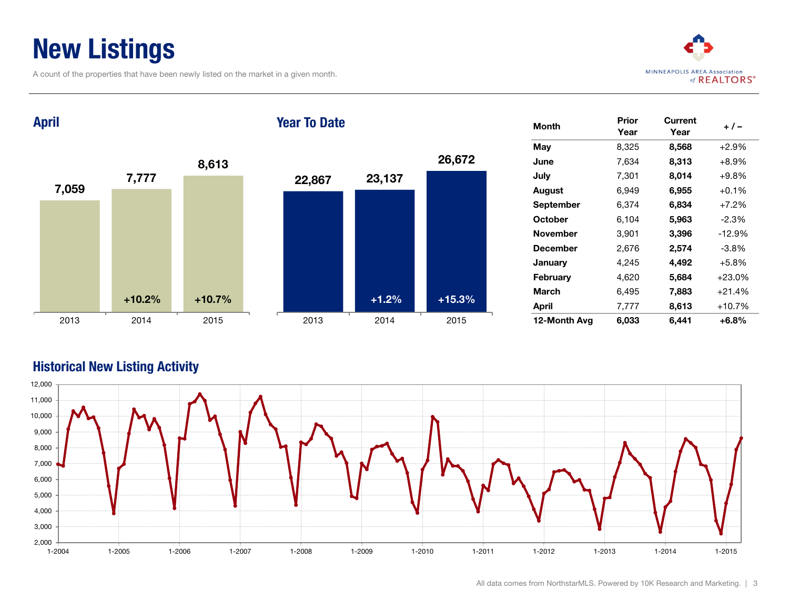### New Listings

A count of the properties that have been newly listed on the market in a given month.



Month Prior Year **Current** yun em +/-<br>Year +/-**May**  $8,325$   $8,568$   $+2.9\%$ **June 7,634 8,313 +8.9%** July 7,301 8,014 +9.8% August 6,949 6,955 +0.1% September 6,374 6,834 +7.2% **October** 6,104 **5,963** -2.3% November 3,901 3,396 -12.9% **December** 2,676 **2,574** -3.8% January 4,245 **4,492** +5.8% February 4,620 5,684 +23.0% March 6,495 7,883 +21.4% April 7,777 8,613 +10.7% 12-Month Avg 6,033 6,441 +6.8% 7,059 7,777 8,613 2013 2014 2015 April 22,867 23,137 26,672 2013 2014 2015 Year To Date +10.2% +10.7% +1.2% +15.3%

#### Historical New Listing Activity

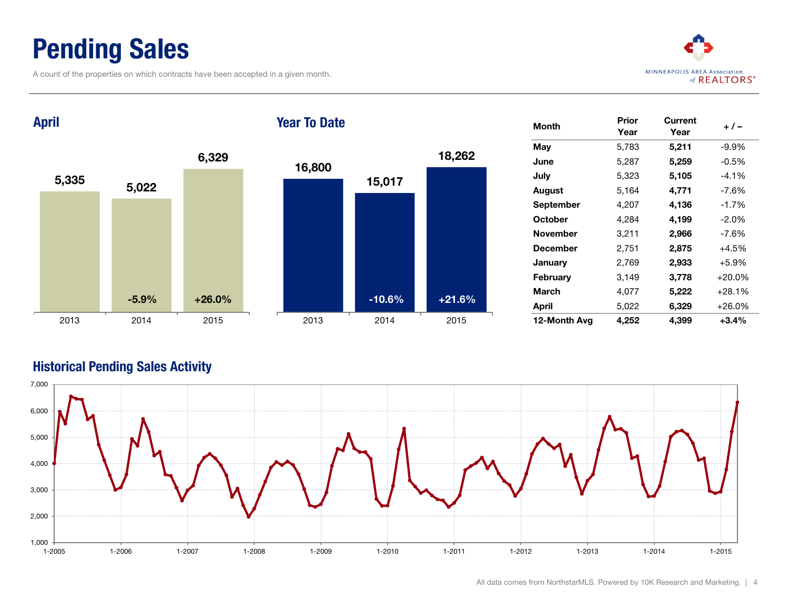### Pending Sales

A count of the properties on which contracts have been accepted in a given month.



5,335 5,022 6,329 2013 2014 2015 April 16,800 15,017 18,262 2013 2014 2015 Year To Date  $-5.9\%$   $+26.0\%$   $+26.0\%$ 

| Month           | Prior<br>Year | Current<br>Year | $+/-$    |
|-----------------|---------------|-----------------|----------|
| Mav             | 5,783         | 5,211           | $-9.9%$  |
| June            | 5,287         | 5,259           | $-0.5%$  |
| July            | 5,323         | 5,105           | $-4.1%$  |
| August          | 5,164         | 4,771           | $-7.6%$  |
| September       | 4,207         | 4,136           | $-1.7%$  |
| October         | 4,284         | 4,199           | $-2.0\%$ |
| <b>November</b> | 3,211         | 2,966           | $-7.6%$  |
| <b>December</b> | 2,751         | 2,875           | $+4.5%$  |
| January         | 2,769         | 2,933           | $+5.9%$  |
| February        | 3,149         | 3,778           | $+20.0%$ |
| March           | 4,077         | 5,222           | +28.1%   |
| April           | 5,022         | 6,329           | +26.0%   |
| 12-Month Avg    | 4,252         | 4,399           | $+3.4%$  |

#### Historical Pending Sales Activity

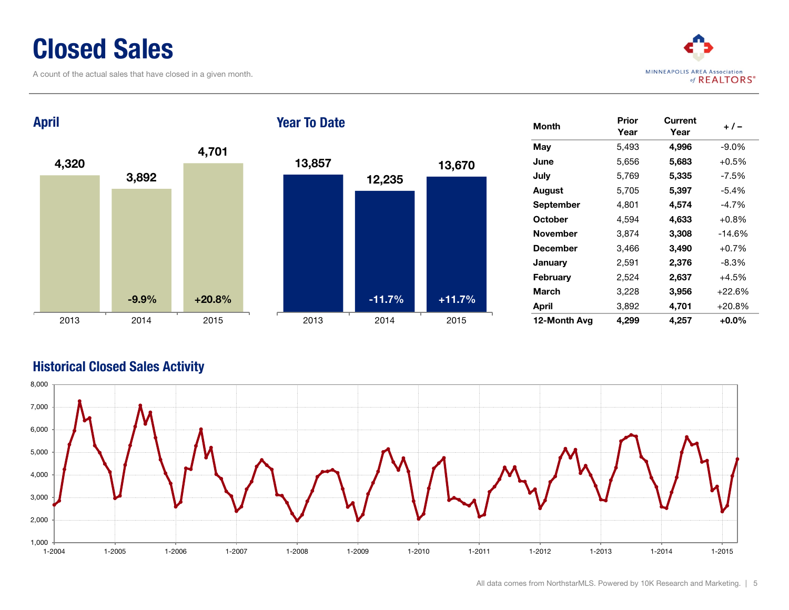### Closed Sales

A count of the actual sales that have closed in a given month.



4,320 3,892 4,701 2013 2014 2015 April 13,857 12,235 13,670 2013 2014 2015 Year To Date  $-9.9\%$   $+20.8\%$   $+11.7\%$ 

| Month            | Prior<br>Year | Current<br>Year | + / –    |
|------------------|---------------|-----------------|----------|
| May              | 5,493         | 4,996           | $-9.0\%$ |
| June             | 5,656         | 5,683           | $+0.5%$  |
| July             | 5,769         | 5,335           | $-7.5%$  |
| <b>August</b>    | 5,705         | 5,397           | $-5.4%$  |
| <b>September</b> | 4,801         | 4,574           | $-4.7\%$ |
| October          | 4,594         | 4,633           | $+0.8%$  |
| <b>November</b>  | 3,874         | 3,308           | $-14.6%$ |
| <b>December</b>  | 3,466         | 3,490           | $+0.7%$  |
| January          | 2,591         | 2,376           | $-8.3%$  |
| February         | 2,524         | 2,637           | $+4.5%$  |
| March            | 3,228         | 3,956           | $+22.6%$ |
| April            | 3,892         | 4,701           | $+20.8%$ |
| 12-Month Avg     | 4,299         | 4,257           | +0.0%    |

#### Historical Closed Sales Activity

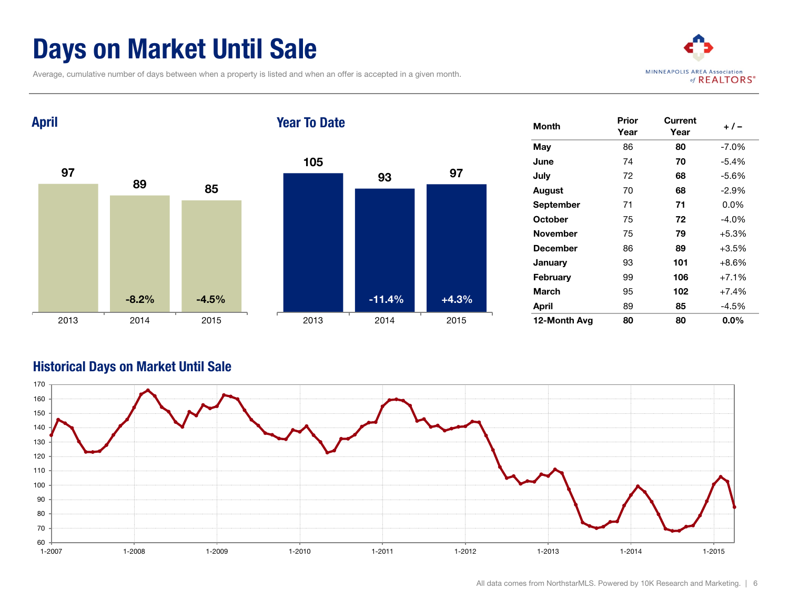### Days on Market Until Sale

Average, cumulative number of days between when a property is listed and when an offer is accepted in a given month.



97 89 85 2013 2014 2015 April 105 93 97 2013 2014 2015 Year To Date  $-8.2\%$   $-4.5\%$   $-11.4\%$   $+4.3\%$ 

| Month            | Prior<br>Year | Current<br>Year | + / -    |
|------------------|---------------|-----------------|----------|
| May              | 86            | 80              | $-7.0\%$ |
| June             | 74            | 70              | $-5.4\%$ |
| July             | 72            | 68              | $-5.6%$  |
| August           | 70            | 68              | $-2.9\%$ |
| <b>September</b> | 71            | 71              | $0.0\%$  |
| <b>October</b>   | 75            | 72              | $-4.0\%$ |
| <b>November</b>  | 75            | 79              | $+5.3%$  |
| <b>December</b>  | 86            | 89              | $+3.5%$  |
| January          | 93            | 101             | $+8.6%$  |
| February         | 99            | 106             | $+7.1%$  |
| March            | 95            | 102             | $+7.4%$  |
| April            | 89            | 85              | $-4.5%$  |
| 12-Month Avg     | 80            | 80              | $0.0\%$  |

#### Historical Days on Market Until Sale

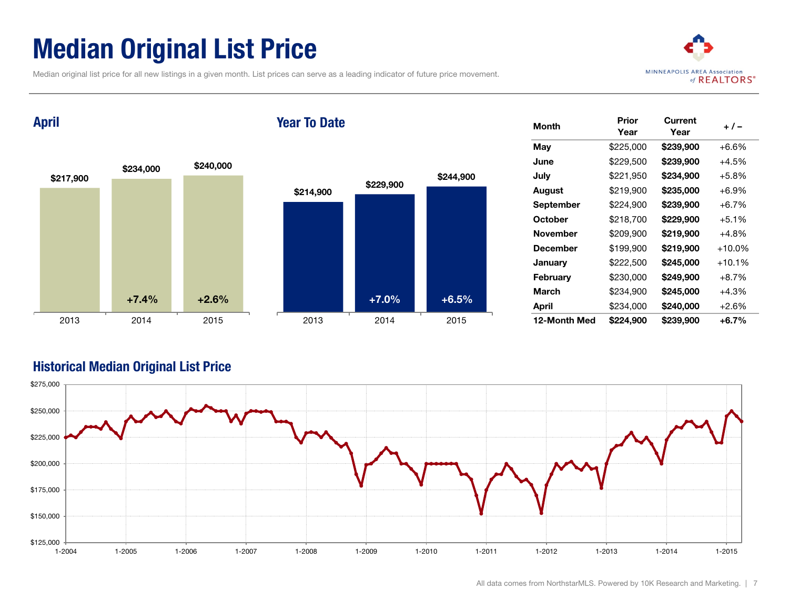### Median Original List Price

Median original list price for all new listings in a given month. List prices can serve as a leading indicator of future price movement.



April

#### Year To Date



| <b>Month</b>    | Prior<br>Year | Current<br>Year | + / -     |
|-----------------|---------------|-----------------|-----------|
| May             | \$225,000     | \$239,900       | $+6.6%$   |
| June            | \$229,500     | \$239,900       | $+4.5%$   |
| July            | \$221,950     | \$234,900       | $+5.8%$   |
| August          | \$219,900     | \$235,000       | $+6.9%$   |
| September       | \$224,900     | \$239,900       | $+6.7%$   |
| October         | \$218,700     | \$229,900       | $+5.1%$   |
| <b>November</b> | \$209,900     | \$219,900       | $+4.8%$   |
| December        | \$199,900     | \$219,900       | $+10.0\%$ |
| January         | \$222,500     | \$245,000       | $+10.1%$  |
| February        | \$230,000     | \$249,900       | $+8.7%$   |
| March           | \$234,900     | \$245,000       | $+4.3%$   |
| April           | \$234,000     | \$240,000       | +2.6%     |
| 12-Month Med    | \$224,900     | \$239,900       | +6.7%     |

#### Historical Median Original List Price

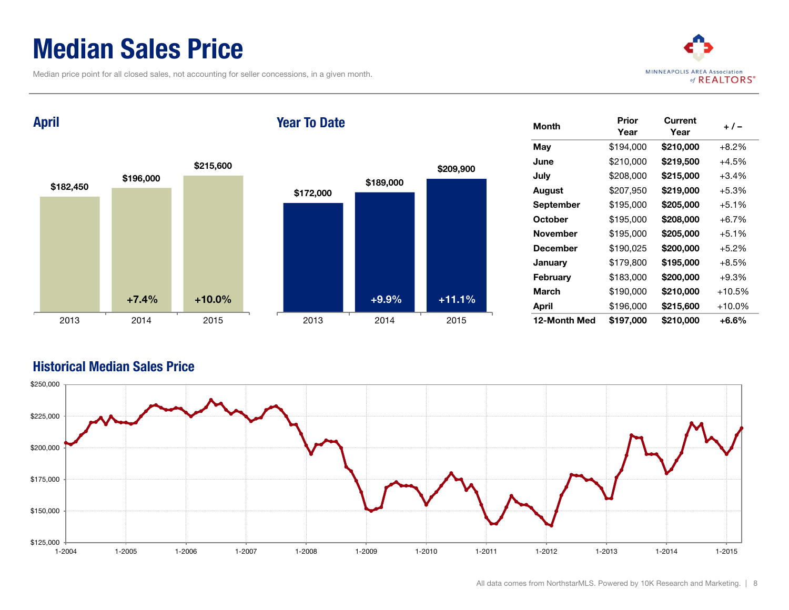### Median Sales Price

Median price point for all closed sales, not accounting for seller concessions, in a given month.



April

#### Year To Date



| <b>Month</b>    | Prior<br>Year | Current<br>Year | $+/-$     |
|-----------------|---------------|-----------------|-----------|
| May             | \$194,000     | \$210,000       | $+8.2%$   |
| June            | \$210,000     | \$219,500       | $+4.5%$   |
| July            | \$208,000     | \$215,000       | $+3.4%$   |
| August          | \$207,950     | \$219,000       | $+5.3%$   |
| September       | \$195,000     | \$205,000       | $+5.1%$   |
| October         | \$195,000     | \$208,000       | $+6.7%$   |
| <b>November</b> | \$195,000     | \$205,000       | $+5.1%$   |
| <b>December</b> | \$190,025     | \$200,000       | $+5.2%$   |
| January         | \$179,800     | \$195,000       | $+8.5%$   |
| <b>February</b> | \$183,000     | \$200,000       | $+9.3%$   |
| March           | \$190,000     | \$210,000       | $+10.5%$  |
| April           | \$196,000     | \$215,600       | $+10.0\%$ |
| 12-Month Med    | \$197,000     | \$210.000       | +6.6%     |

#### Historical Median Sales Price

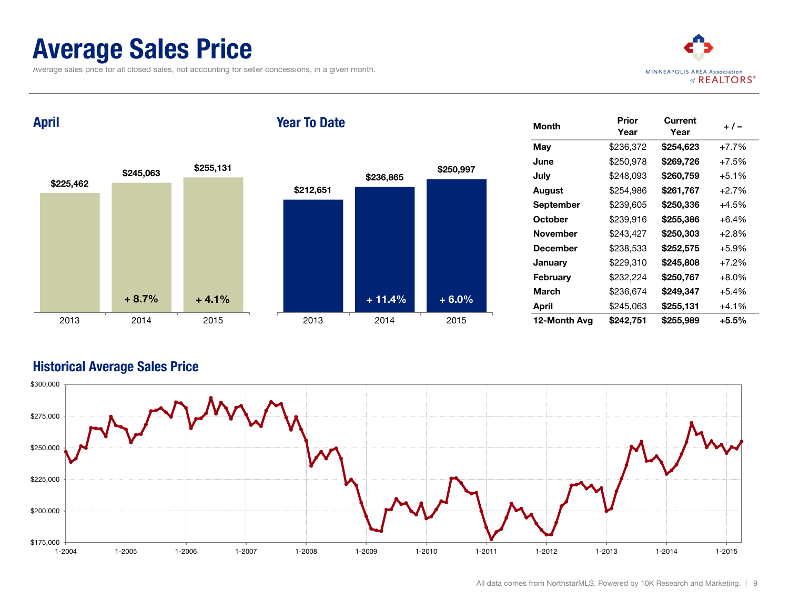### Average Sales Price

Average sales price for all closed sales, not accounting for seller concessions, in a given month.



April

#### Year To Date



| <b>Month</b>    | Prior<br>Year | Current<br>Year | + / –    |
|-----------------|---------------|-----------------|----------|
| May             | \$236,372     | \$254,623       | $+7.7%$  |
| June            | \$250,978     | \$269,726       | $+7.5%$  |
| July            | \$248,093     | \$260,759       | $+5.1%$  |
| August          | \$254,986     | \$261,767       | $+2.7%$  |
| September       | \$239,605     | \$250,336       | $+4.5%$  |
| October         | \$239,916     | \$255,386       | $+6.4%$  |
| November        | \$243,427     | \$250,303       | $+2.8%$  |
| <b>December</b> | \$238,533     | \$252,575       | $+5.9\%$ |
| January         | \$229,310     | \$245,808       | $+7.2%$  |
| February        | \$232,224     | \$250,767       | $+8.0%$  |
| March           | \$236,674     | \$249,347       | $+5.4%$  |
| April           | \$245,063     | \$255,131       | $+4.1%$  |
| 12-Month Avg    | \$242,751     | \$255.989       | +5.5%    |

#### Historical Average Sales Price

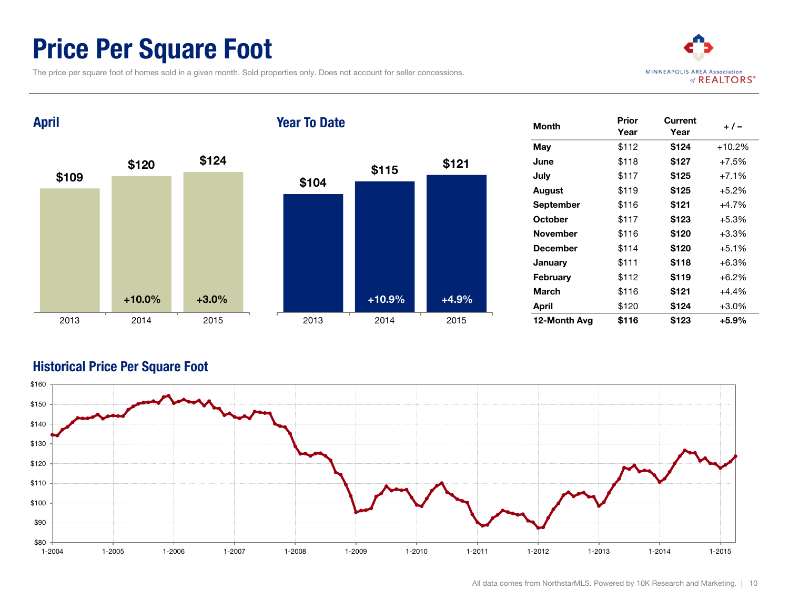### Price Per Square Foot

The price per square foot of homes sold in a given month. Sold properties only. Does not account for seller concessions.



\$109 \$120 \$124 2013 2014 2015 April \$104 \$115 \$121 2013 2014 2015 Year To Date +10.0% +3.0% +10.9% +4.9%

| <b>Month</b>     | Prior<br>Year | Current<br>Year | $+/-$    |
|------------------|---------------|-----------------|----------|
| May              | \$112         | \$124           | $+10.2%$ |
| June             | \$118         | \$127           | $+7.5%$  |
| July             | \$117         | \$125           | $+7.1%$  |
| August           | \$119         | \$125           | $+5.2%$  |
| <b>September</b> | \$116         | \$121           | $+4.7%$  |
| October          | \$117         | \$123           | $+5.3%$  |
| <b>November</b>  | \$116         | \$120           | +3.3%    |
| <b>December</b>  | \$114         | \$120           | $+5.1%$  |
| January          | \$111         | \$118           | +6.3%    |
| February         | \$112         | \$119           | $+6.2\%$ |
| March            | \$116         | \$121           | $+4.4%$  |
| April            | \$120         | \$124           | $+3.0\%$ |
| 12-Month Avg     | \$116         | \$123           | +5.9%    |

#### Historical Price Per Square Foot

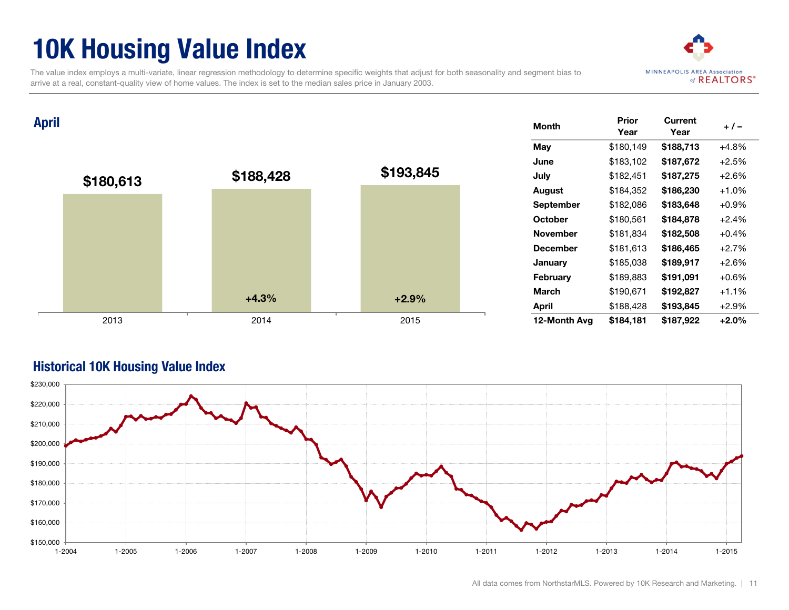### 10K Housing Value Index

The value index employs a multi-variate, linear regression methodology to determine specific weights that adjust for both seasonality and segment bias to arrive at a real, constant-quality view of home values. The index is set to the median sales price in January 2003.



Month Prior Year **Current** Year + / – May \$180,149 \$188,713 +4.8% June \$183,102 \$187,672 +2.5% July \$182,451 \$187,275 +2.6% August \$184,352 \$186,230 +1.0% September \$182,086 \$183,648 +0.9% October \$180,561 \$184,878 +2.4% November \$181,834 \$182,508 +0.4% December \$181,613 \$186,465 +2.7% January \$185,038 \$189,917 +2.6% February \$189,883 \$191,091 +0.6% March \$190.671 **\$192.827** +1.1% April \$188,428 \$193,845 +2.9% 12-Month Avg \$184,181 \$187,922 +2.0% \$180,613 \$188,428 \$193,845 2013 2014 2015 April  $+4.3\%$   $+2.9\%$ 



#### Historical 10K Housing Value Index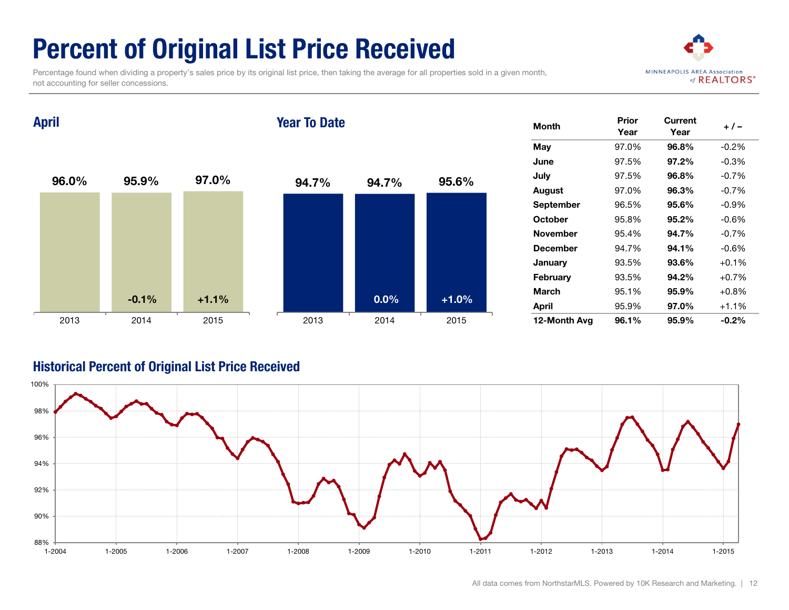## Percent of Original List Price Received

 Percentage found when dividing a property's sales price by its original list price, then taking the average for all properties sold in a given month, not accounting for seller concessions.



April

#### Year To Date



| <b>Month</b> | Prior<br>Year | Current<br>Year | $+/-$    |
|--------------|---------------|-----------------|----------|
| May          | 97.0%         | 96.8%           | $-0.2%$  |
| June         | 97.5%         | 97.2%           | $-0.3%$  |
| July         | 97.5%         | 96.8%           | $-0.7%$  |
| August       | 97.0%         | 96.3%           | $-0.7%$  |
| September    | 96.5%         | 95.6%           | $-0.9\%$ |
| October      | 95.8%         | 95.2%           | $-0.6%$  |
| November     | 95.4%         | 94.7%           | $-0.7%$  |
| December     | 94.7%         | 94.1%           | $-0.6\%$ |
| January      | 93.5%         | 93.6%           | $+0.1%$  |
| February     | 93.5%         | 94.2%           | $+0.7%$  |
| March        | 95.1%         | 95.9%           | $+0.8%$  |
| April        | 95.9%         | 97.0%           | $+1.1%$  |
| 12-Month Avg | 96.1%         | 95.9%           | $-0.2\%$ |

#### Historical Percent of Original List Price Received

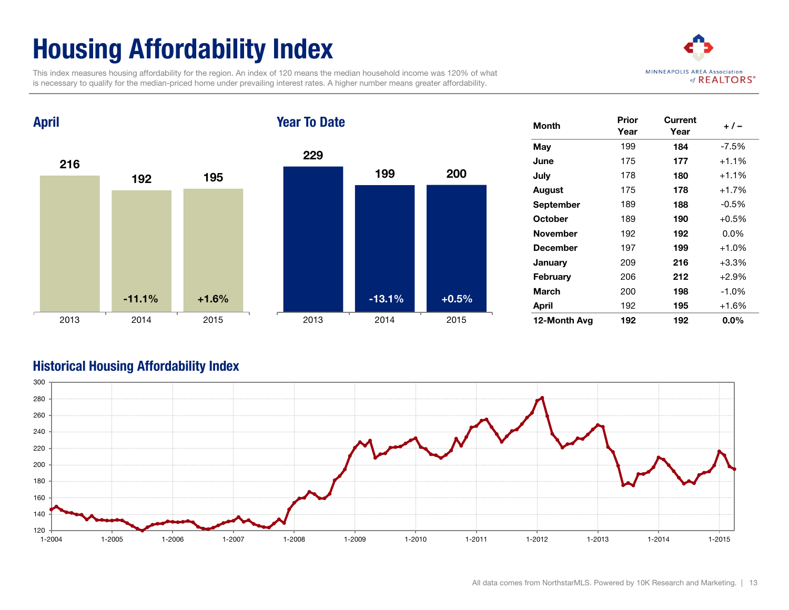## Housing Affordability Index

 This index measures housing affordability for the region. An index of 120 means the median household income was 120% of what is necessary to qualify for the median-priced home under prevailing interest rates. A higher number means greater affordability.



216 192 195 2013 2014 2015 April 229 199 200 2013 2014 2015 Year To Date -11.1% +1.6% -13.1% +0.5%

| <b>Month</b>    | Prior<br>Current<br>Year<br>Year |     | $+/-$   |
|-----------------|----------------------------------|-----|---------|
| May             | 199                              | 184 | $-7.5%$ |
| June            | 175                              | 177 | $+1.1%$ |
| July            | 178                              | 180 | $+1.1%$ |
| August          | 175                              | 178 | $+1.7%$ |
| September       | 189                              | 188 | $-0.5%$ |
| October         | 189                              | 190 | $+0.5%$ |
| <b>November</b> | 192                              | 192 | $0.0\%$ |
| <b>December</b> | 197                              | 199 | $+1.0%$ |
| January         | 209                              | 216 | $+3.3%$ |
| February        | 206                              | 212 | $+2.9%$ |
| March           | 200                              | 198 | $-1.0%$ |
| April           | 192                              | 195 | $+1.6%$ |
| 12-Month Avg    | 192                              | 192 | $0.0\%$ |

#### Historical Housing Affordability Index

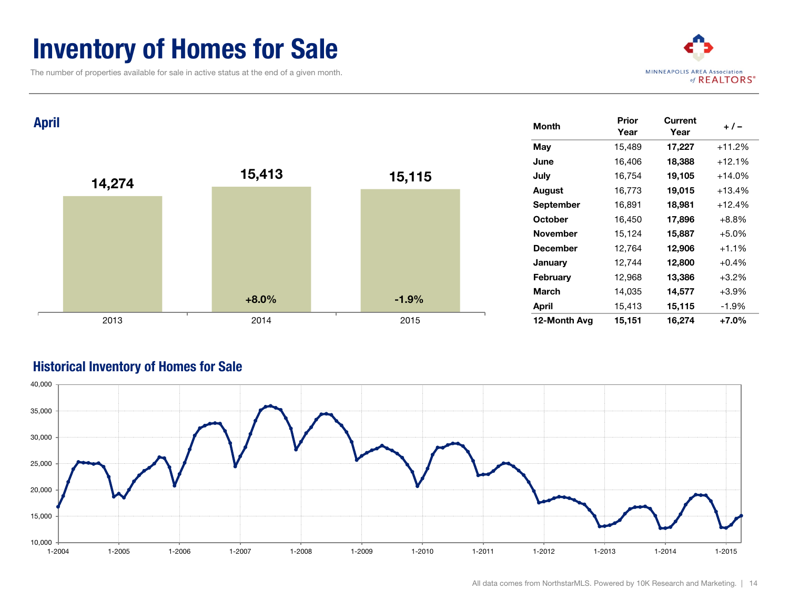### **Inventory of Homes for Sale**

The number of properties available for sale in active status at the end of a given month.



| <b>April</b> |        |         |         | <b>Month</b>    | Prior<br>Year | <b>Current</b><br>Year | $+/-$    |
|--------------|--------|---------|---------|-----------------|---------------|------------------------|----------|
|              |        |         |         | May             | 15,489        | 17,227                 | $+11.2%$ |
|              |        |         |         | June            | 16,406        | 18,388                 | $+12.1%$ |
|              |        | 15,413  | 15,115  | July            | 16,754        | 19,105                 | $+14.0%$ |
|              | 14,274 |         |         | <b>August</b>   | 16,773        | 19,015                 | $+13.4%$ |
|              |        |         |         | September       | 16,891        | 18,981                 | $+12.4%$ |
|              |        |         |         | October         | 16,450        | 17,896                 | $+8.8%$  |
|              |        |         |         | November        | 15,124        | 15,887                 | $+5.0%$  |
|              |        |         |         | <b>December</b> | 12,764        | 12,906                 | $+1.1%$  |
|              |        |         |         | January         | 12,744        | 12,800                 | $+0.4%$  |
|              |        |         |         | February        | 12,968        | 13,386                 | $+3.2%$  |
|              |        |         |         | <b>March</b>    | 14,035        | 14,577                 | $+3.9%$  |
|              |        | $+8.0%$ | $-1.9%$ | <b>April</b>    | 15,413        | 15,115                 | $-1.9%$  |
|              | 2013   | 2014    | 2015    | 12-Month Avg    | 15,151        | 16,274                 | $+7.0%$  |

#### Historical Inventory of Homes for Sale

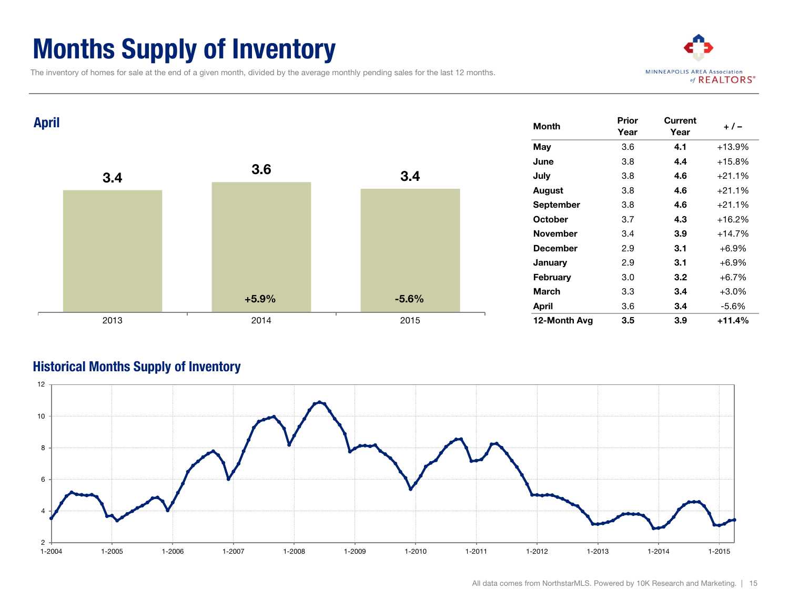### Months Supply of Inventory

The inventory of homes for sale at the end of a given month, divided by the average monthly pending sales for the last 12 months.





#### Historical Months Supply of Inventory